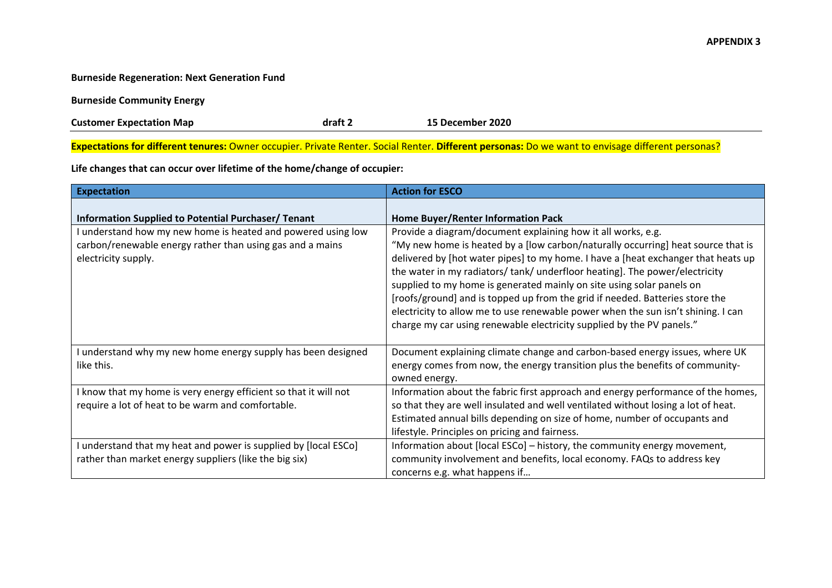## **APPENDIX 3**

## **Burneside Regeneration: Next Generation Fund**

**Burneside Community Energy**

**Customer Expectation Map draft 2 15 December 2020** 

**Expectations for different tenures:** Owner occupier. Private Renter. Social Renter. **Different personas:** Do we want to envisage different personas?

**Life changes that can occur over lifetime of the home/change of occupier:** 

| <b>Expectation</b>                                                                                                                             | <b>Action for ESCO</b>                                                                                                                                                                                                                                                                                                                                                                                                                                                                                                                                                                                                                   |
|------------------------------------------------------------------------------------------------------------------------------------------------|------------------------------------------------------------------------------------------------------------------------------------------------------------------------------------------------------------------------------------------------------------------------------------------------------------------------------------------------------------------------------------------------------------------------------------------------------------------------------------------------------------------------------------------------------------------------------------------------------------------------------------------|
| Information Supplied to Potential Purchaser/ Tenant                                                                                            | Home Buyer/Renter Information Pack                                                                                                                                                                                                                                                                                                                                                                                                                                                                                                                                                                                                       |
| understand how my new home is heated and powered using low<br>carbon/renewable energy rather than using gas and a mains<br>electricity supply. | Provide a diagram/document explaining how it all works, e.g.<br>"My new home is heated by a [low carbon/naturally occurring] heat source that is<br>delivered by [hot water pipes] to my home. I have a [heat exchanger that heats up<br>the water in my radiators/tank/underfloor heating]. The power/electricity<br>supplied to my home is generated mainly on site using solar panels on<br>[roofs/ground] and is topped up from the grid if needed. Batteries store the<br>electricity to allow me to use renewable power when the sun isn't shining. I can<br>charge my car using renewable electricity supplied by the PV panels." |
| I understand why my new home energy supply has been designed<br>like this.                                                                     | Document explaining climate change and carbon-based energy issues, where UK<br>energy comes from now, the energy transition plus the benefits of community-<br>owned energy.                                                                                                                                                                                                                                                                                                                                                                                                                                                             |
| I know that my home is very energy efficient so that it will not<br>require a lot of heat to be warm and comfortable.                          | Information about the fabric first approach and energy performance of the homes,<br>so that they are well insulated and well ventilated without losing a lot of heat.<br>Estimated annual bills depending on size of home, number of occupants and<br>lifestyle. Principles on pricing and fairness.                                                                                                                                                                                                                                                                                                                                     |
| understand that my heat and power is supplied by [local ESCo]<br>rather than market energy suppliers (like the big six)                        | Information about [local ESCo] – history, the community energy movement,<br>community involvement and benefits, local economy. FAQs to address key<br>concerns e.g. what happens if                                                                                                                                                                                                                                                                                                                                                                                                                                                      |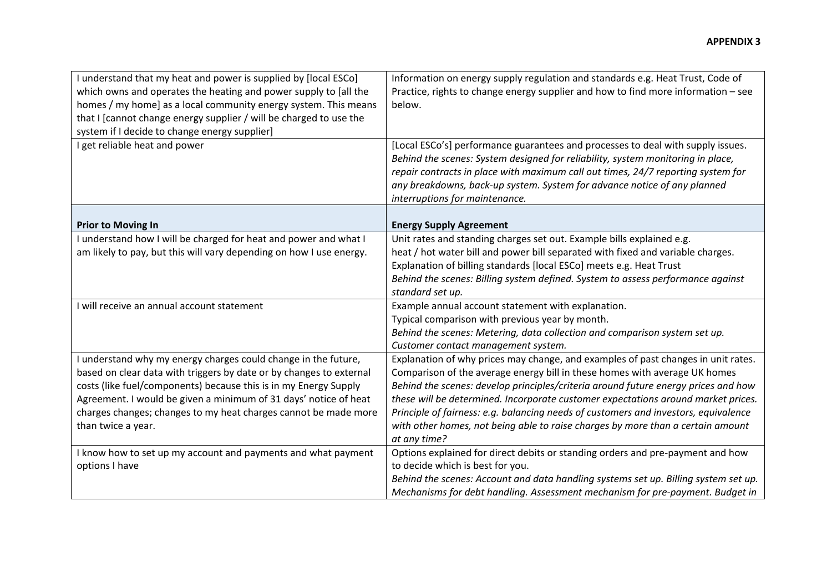| I understand that my heat and power is supplied by [local ESCo]<br>which owns and operates the heating and power supply to [all the<br>homes / my home] as a local community energy system. This means<br>that I [cannot change energy supplier / will be charged to use the<br>system if I decide to change energy supplier] | Information on energy supply regulation and standards e.g. Heat Trust, Code of<br>Practice, rights to change energy supplier and how to find more information - see<br>below.                                                                                                                                                                                        |
|-------------------------------------------------------------------------------------------------------------------------------------------------------------------------------------------------------------------------------------------------------------------------------------------------------------------------------|----------------------------------------------------------------------------------------------------------------------------------------------------------------------------------------------------------------------------------------------------------------------------------------------------------------------------------------------------------------------|
| I get reliable heat and power                                                                                                                                                                                                                                                                                                 | [Local ESCo's] performance guarantees and processes to deal with supply issues.<br>Behind the scenes: System designed for reliability, system monitoring in place,<br>repair contracts in place with maximum call out times, 24/7 reporting system for<br>any breakdowns, back-up system. System for advance notice of any planned<br>interruptions for maintenance. |
| <b>Prior to Moving In</b>                                                                                                                                                                                                                                                                                                     | <b>Energy Supply Agreement</b>                                                                                                                                                                                                                                                                                                                                       |
| I understand how I will be charged for heat and power and what I                                                                                                                                                                                                                                                              | Unit rates and standing charges set out. Example bills explained e.g.                                                                                                                                                                                                                                                                                                |
| am likely to pay, but this will vary depending on how I use energy.                                                                                                                                                                                                                                                           | heat / hot water bill and power bill separated with fixed and variable charges.                                                                                                                                                                                                                                                                                      |
|                                                                                                                                                                                                                                                                                                                               | Explanation of billing standards [local ESCo] meets e.g. Heat Trust                                                                                                                                                                                                                                                                                                  |
|                                                                                                                                                                                                                                                                                                                               | Behind the scenes: Billing system defined. System to assess performance against                                                                                                                                                                                                                                                                                      |
|                                                                                                                                                                                                                                                                                                                               | standard set up.                                                                                                                                                                                                                                                                                                                                                     |
| I will receive an annual account statement                                                                                                                                                                                                                                                                                    | Example annual account statement with explanation.                                                                                                                                                                                                                                                                                                                   |
|                                                                                                                                                                                                                                                                                                                               | Typical comparison with previous year by month.                                                                                                                                                                                                                                                                                                                      |
|                                                                                                                                                                                                                                                                                                                               | Behind the scenes: Metering, data collection and comparison system set up.                                                                                                                                                                                                                                                                                           |
|                                                                                                                                                                                                                                                                                                                               | Customer contact management system.                                                                                                                                                                                                                                                                                                                                  |
| I understand why my energy charges could change in the future,                                                                                                                                                                                                                                                                | Explanation of why prices may change, and examples of past changes in unit rates.                                                                                                                                                                                                                                                                                    |
| based on clear data with triggers by date or by changes to external                                                                                                                                                                                                                                                           | Comparison of the average energy bill in these homes with average UK homes                                                                                                                                                                                                                                                                                           |
| costs (like fuel/components) because this is in my Energy Supply                                                                                                                                                                                                                                                              | Behind the scenes: develop principles/criteria around future energy prices and how                                                                                                                                                                                                                                                                                   |
| Agreement. I would be given a minimum of 31 days' notice of heat                                                                                                                                                                                                                                                              | these will be determined. Incorporate customer expectations around market prices.                                                                                                                                                                                                                                                                                    |
| charges changes; changes to my heat charges cannot be made more                                                                                                                                                                                                                                                               | Principle of fairness: e.g. balancing needs of customers and investors, equivalence                                                                                                                                                                                                                                                                                  |
| than twice a year.                                                                                                                                                                                                                                                                                                            | with other homes, not being able to raise charges by more than a certain amount                                                                                                                                                                                                                                                                                      |
|                                                                                                                                                                                                                                                                                                                               | at any time?                                                                                                                                                                                                                                                                                                                                                         |
| I know how to set up my account and payments and what payment                                                                                                                                                                                                                                                                 | Options explained for direct debits or standing orders and pre-payment and how                                                                                                                                                                                                                                                                                       |
| options I have                                                                                                                                                                                                                                                                                                                | to decide which is best for you.                                                                                                                                                                                                                                                                                                                                     |
|                                                                                                                                                                                                                                                                                                                               | Behind the scenes: Account and data handling systems set up. Billing system set up.                                                                                                                                                                                                                                                                                  |
|                                                                                                                                                                                                                                                                                                                               | Mechanisms for debt handling. Assessment mechanism for pre-payment. Budget in                                                                                                                                                                                                                                                                                        |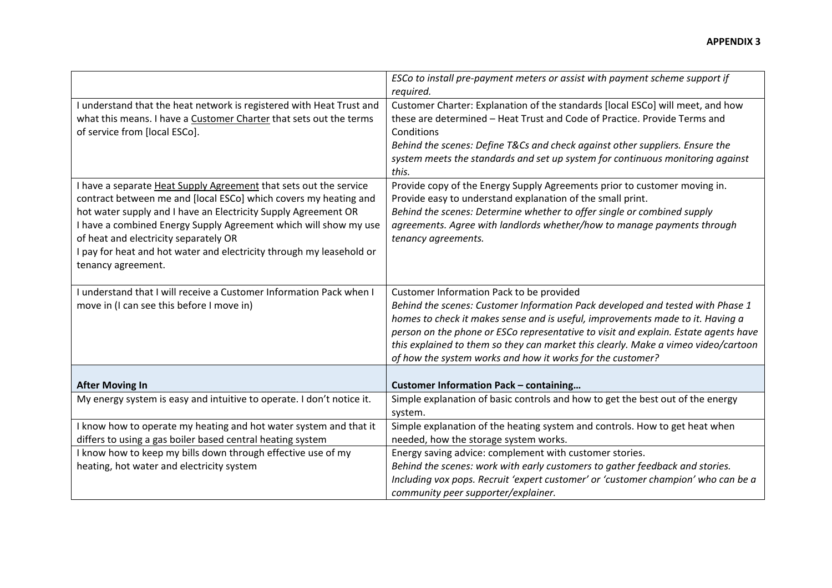|                                                                                                                                                                                                                                                                                                                                                                                                                    | ESCo to install pre-payment meters or assist with payment scheme support if<br>required.                                                                                                                                                                                                                                                                                                                                                                |
|--------------------------------------------------------------------------------------------------------------------------------------------------------------------------------------------------------------------------------------------------------------------------------------------------------------------------------------------------------------------------------------------------------------------|---------------------------------------------------------------------------------------------------------------------------------------------------------------------------------------------------------------------------------------------------------------------------------------------------------------------------------------------------------------------------------------------------------------------------------------------------------|
| I understand that the heat network is registered with Heat Trust and<br>what this means. I have a Customer Charter that sets out the terms<br>of service from [local ESCo].                                                                                                                                                                                                                                        | Customer Charter: Explanation of the standards [local ESCo] will meet, and how<br>these are determined - Heat Trust and Code of Practice. Provide Terms and<br>Conditions<br>Behind the scenes: Define T&Cs and check against other suppliers. Ensure the<br>system meets the standards and set up system for continuous monitoring against<br>this.                                                                                                    |
| I have a separate Heat Supply Agreement that sets out the service<br>contract between me and [local ESCo] which covers my heating and<br>hot water supply and I have an Electricity Supply Agreement OR<br>I have a combined Energy Supply Agreement which will show my use<br>of heat and electricity separately OR<br>I pay for heat and hot water and electricity through my leasehold or<br>tenancy agreement. | Provide copy of the Energy Supply Agreements prior to customer moving in.<br>Provide easy to understand explanation of the small print.<br>Behind the scenes: Determine whether to offer single or combined supply<br>agreements. Agree with landlords whether/how to manage payments through<br>tenancy agreements.                                                                                                                                    |
| I understand that I will receive a Customer Information Pack when I<br>move in (I can see this before I move in)                                                                                                                                                                                                                                                                                                   | Customer Information Pack to be provided<br>Behind the scenes: Customer Information Pack developed and tested with Phase 1<br>homes to check it makes sense and is useful, improvements made to it. Having a<br>person on the phone or ESCo representative to visit and explain. Estate agents have<br>this explained to them so they can market this clearly. Make a vimeo video/cartoon<br>of how the system works and how it works for the customer? |
| <b>After Moving In</b>                                                                                                                                                                                                                                                                                                                                                                                             | <b>Customer Information Pack - containing</b>                                                                                                                                                                                                                                                                                                                                                                                                           |
| My energy system is easy and intuitive to operate. I don't notice it.                                                                                                                                                                                                                                                                                                                                              | Simple explanation of basic controls and how to get the best out of the energy<br>system.                                                                                                                                                                                                                                                                                                                                                               |
| I know how to operate my heating and hot water system and that it<br>differs to using a gas boiler based central heating system                                                                                                                                                                                                                                                                                    | Simple explanation of the heating system and controls. How to get heat when<br>needed, how the storage system works.                                                                                                                                                                                                                                                                                                                                    |
| I know how to keep my bills down through effective use of my<br>heating, hot water and electricity system                                                                                                                                                                                                                                                                                                          | Energy saving advice: complement with customer stories.<br>Behind the scenes: work with early customers to gather feedback and stories.<br>Including vox pops. Recruit 'expert customer' or 'customer champion' who can be a<br>community peer supporter/explainer.                                                                                                                                                                                     |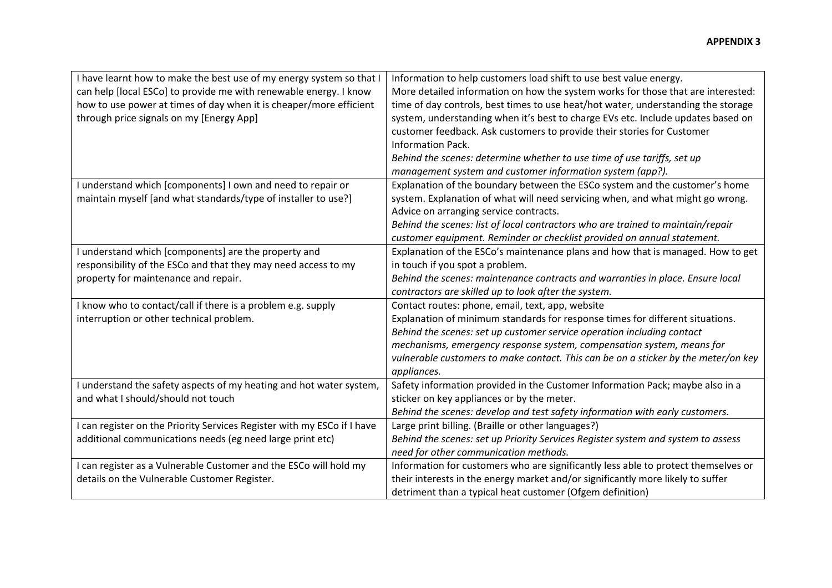| I have learnt how to make the best use of my energy system so that I<br>can help [local ESCo] to provide me with renewable energy. I know<br>how to use power at times of day when it is cheaper/more efficient<br>through price signals on my [Energy App] | Information to help customers load shift to use best value energy.<br>More detailed information on how the system works for those that are interested:<br>time of day controls, best times to use heat/hot water, understanding the storage<br>system, understanding when it's best to charge EVs etc. Include updates based on<br>customer feedback. Ask customers to provide their stories for Customer<br>Information Pack.<br>Behind the scenes: determine whether to use time of use tariffs, set up<br>management system and customer information system (app?). |
|-------------------------------------------------------------------------------------------------------------------------------------------------------------------------------------------------------------------------------------------------------------|------------------------------------------------------------------------------------------------------------------------------------------------------------------------------------------------------------------------------------------------------------------------------------------------------------------------------------------------------------------------------------------------------------------------------------------------------------------------------------------------------------------------------------------------------------------------|
| I understand which [components] I own and need to repair or<br>maintain myself [and what standards/type of installer to use?]                                                                                                                               | Explanation of the boundary between the ESCo system and the customer's home<br>system. Explanation of what will need servicing when, and what might go wrong.<br>Advice on arranging service contracts.<br>Behind the scenes: list of local contractors who are trained to maintain/repair                                                                                                                                                                                                                                                                             |
| I understand which [components] are the property and<br>responsibility of the ESCo and that they may need access to my<br>property for maintenance and repair.                                                                                              | customer equipment. Reminder or checklist provided on annual statement.<br>Explanation of the ESCo's maintenance plans and how that is managed. How to get<br>in touch if you spot a problem.<br>Behind the scenes: maintenance contracts and warranties in place. Ensure local<br>contractors are skilled up to look after the system.                                                                                                                                                                                                                                |
| I know who to contact/call if there is a problem e.g. supply<br>interruption or other technical problem.                                                                                                                                                    | Contact routes: phone, email, text, app, website<br>Explanation of minimum standards for response times for different situations.<br>Behind the scenes: set up customer service operation including contact<br>mechanisms, emergency response system, compensation system, means for<br>vulnerable customers to make contact. This can be on a sticker by the meter/on key<br>appliances.                                                                                                                                                                              |
| I understand the safety aspects of my heating and hot water system,<br>and what I should/should not touch                                                                                                                                                   | Safety information provided in the Customer Information Pack; maybe also in a<br>sticker on key appliances or by the meter.<br>Behind the scenes: develop and test safety information with early customers.                                                                                                                                                                                                                                                                                                                                                            |
| I can register on the Priority Services Register with my ESCo if I have<br>additional communications needs (eg need large print etc)                                                                                                                        | Large print billing. (Braille or other languages?)<br>Behind the scenes: set up Priority Services Register system and system to assess<br>need for other communication methods.                                                                                                                                                                                                                                                                                                                                                                                        |
| I can register as a Vulnerable Customer and the ESCo will hold my<br>details on the Vulnerable Customer Register.                                                                                                                                           | Information for customers who are significantly less able to protect themselves or<br>their interests in the energy market and/or significantly more likely to suffer<br>detriment than a typical heat customer (Ofgem definition)                                                                                                                                                                                                                                                                                                                                     |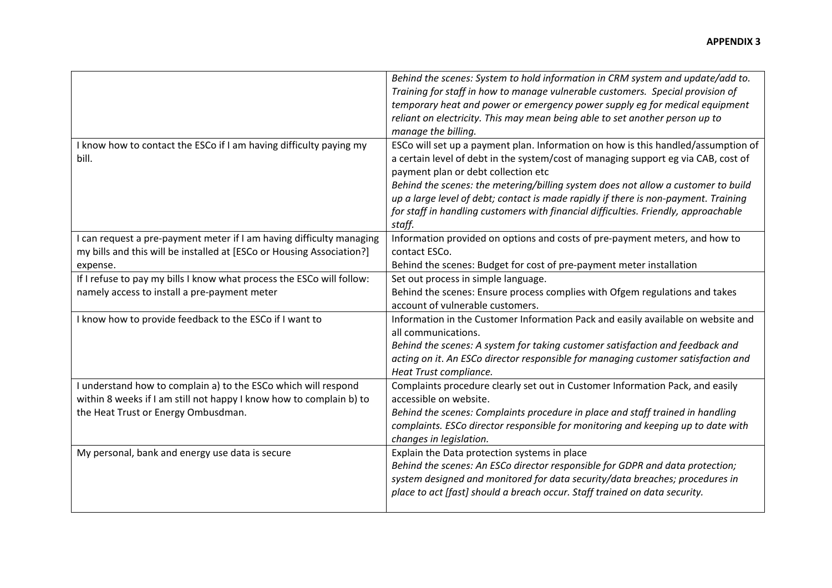|                                                                                                                                                                              | Behind the scenes: System to hold information in CRM system and update/add to.<br>Training for staff in how to manage vulnerable customers. Special provision of<br>temporary heat and power or emergency power supply eg for medical equipment<br>reliant on electricity. This may mean being able to set another person up to<br>manage the billing.                                                                                                                                      |
|------------------------------------------------------------------------------------------------------------------------------------------------------------------------------|---------------------------------------------------------------------------------------------------------------------------------------------------------------------------------------------------------------------------------------------------------------------------------------------------------------------------------------------------------------------------------------------------------------------------------------------------------------------------------------------|
| I know how to contact the ESCo if I am having difficulty paying my<br>bill.                                                                                                  | ESCo will set up a payment plan. Information on how is this handled/assumption of<br>a certain level of debt in the system/cost of managing support eg via CAB, cost of<br>payment plan or debt collection etc<br>Behind the scenes: the metering/billing system does not allow a customer to build<br>up a large level of debt; contact is made rapidly if there is non-payment. Training<br>for staff in handling customers with financial difficulties. Friendly, approachable<br>staff. |
| I can request a pre-payment meter if I am having difficulty managing<br>my bills and this will be installed at [ESCo or Housing Association?]<br>expense.                    | Information provided on options and costs of pre-payment meters, and how to<br>contact ESCo.<br>Behind the scenes: Budget for cost of pre-payment meter installation                                                                                                                                                                                                                                                                                                                        |
| If I refuse to pay my bills I know what process the ESCo will follow:<br>namely access to install a pre-payment meter                                                        | Set out process in simple language.<br>Behind the scenes: Ensure process complies with Ofgem regulations and takes<br>account of vulnerable customers.                                                                                                                                                                                                                                                                                                                                      |
| I know how to provide feedback to the ESCo if I want to                                                                                                                      | Information in the Customer Information Pack and easily available on website and<br>all communications.<br>Behind the scenes: A system for taking customer satisfaction and feedback and<br>acting on it. An ESCo director responsible for managing customer satisfaction and<br>Heat Trust compliance.                                                                                                                                                                                     |
| I understand how to complain a) to the ESCo which will respond<br>within 8 weeks if I am still not happy I know how to complain b) to<br>the Heat Trust or Energy Ombusdman. | Complaints procedure clearly set out in Customer Information Pack, and easily<br>accessible on website.<br>Behind the scenes: Complaints procedure in place and staff trained in handling<br>complaints. ESCo director responsible for monitoring and keeping up to date with<br>changes in legislation.                                                                                                                                                                                    |
| My personal, bank and energy use data is secure                                                                                                                              | Explain the Data protection systems in place<br>Behind the scenes: An ESCo director responsible for GDPR and data protection;<br>system designed and monitored for data security/data breaches; procedures in<br>place to act [fast] should a breach occur. Staff trained on data security.                                                                                                                                                                                                 |